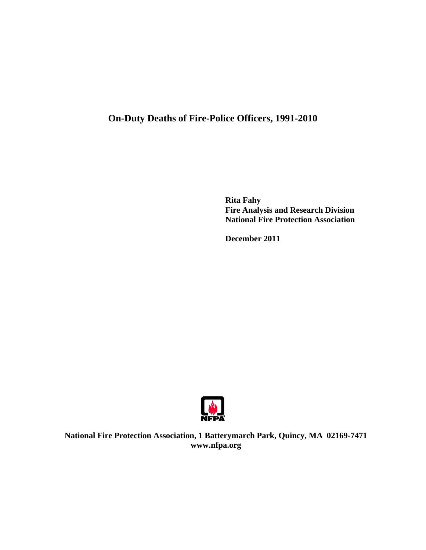# **On-Duty Deaths of Fire-Police Officers, 1991-2010**

**Rita Fahy Fire Analysis and Research Division National Fire Protection Association** 

 **December 2011** 



**National Fire Protection Association, 1 Batterymarch Park, Quincy, MA 02169-7471 www.nfpa.org**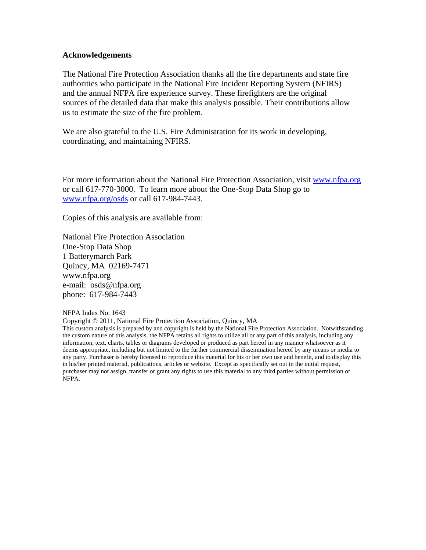### **Acknowledgements**

The National Fire Protection Association thanks all the fire departments and state fire authorities who participate in the National Fire Incident Reporting System (NFIRS) and the annual NFPA fire experience survey. These firefighters are the original sources of the detailed data that make this analysis possible. Their contributions allow us to estimate the size of the fire problem.

We are also grateful to the U.S. Fire Administration for its work in developing, coordinating, and maintaining NFIRS.

For more information about the National Fire Protection Association, visit www.nfpa.org or call 617-770-3000. To learn more about the One-Stop Data Shop go to www.nfpa.org/osds or call 617-984-7443.

Copies of this analysis are available from:

National Fire Protection Association One-Stop Data Shop 1 Batterymarch Park Quincy, MA 02169-7471 www.nfpa.org e-mail: osds@nfpa.org phone: 617-984-7443

#### NFPA Index No. 1643

Copyright © 2011, National Fire Protection Association, Quincy, MA

This custom analysis is prepared by and copyright is held by the National Fire Protection Association. Notwithstanding the custom nature of this analysis, the NFPA retains all rights to utilize all or any part of this analysis, including any information, text, charts, tables or diagrams developed or produced as part hereof in any manner whatsoever as it deems appropriate, including but not limited to the further commercial dissemination hereof by any means or media to any party. Purchaser is hereby licensed to reproduce this material for his or her own use and benefit, and to display this in his/her printed material, publications, articles or website. Except as specifically set out in the initial request, purchaser may not assign, transfer or grant any rights to use this material to any third parties without permission of NFPA.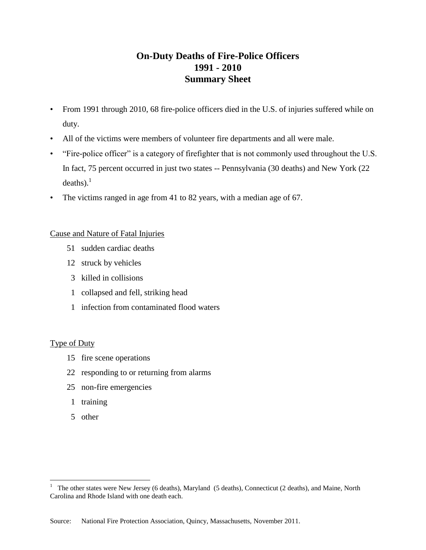## **On-Duty Deaths of Fire-Police Officers 1991 - 2010 Summary Sheet**

- From 1991 through 2010, 68 fire-police officers died in the U.S. of injuries suffered while on duty.
- All of the victims were members of volunteer fire departments and all were male.
- "Fire-police officer" is a category of firefighter that is not commonly used throughout the U.S. In fact, 75 percent occurred in just two states -- Pennsylvania (30 deaths) and New York (22 deaths). $<sup>1</sup>$ </sup>
- The victims ranged in age from 41 to 82 years, with a median age of 67.

### Cause and Nature of Fatal Injuries

- 51 sudden cardiac deaths
- 12 struck by vehicles
- 3 killed in collisions
- 1 collapsed and fell, striking head
- 1 infection from contaminated flood waters

### Type of Duty

- 15 fire scene operations
- 22 responding to or returning from alarms
- 25 non-fire emergencies
- 1 training
- 5 other

 $\frac{1}{1}$  The other states were New Jersey (6 deaths), Maryland (5 deaths), Connecticut (2 deaths), and Maine, North Carolina and Rhode Island with one death each.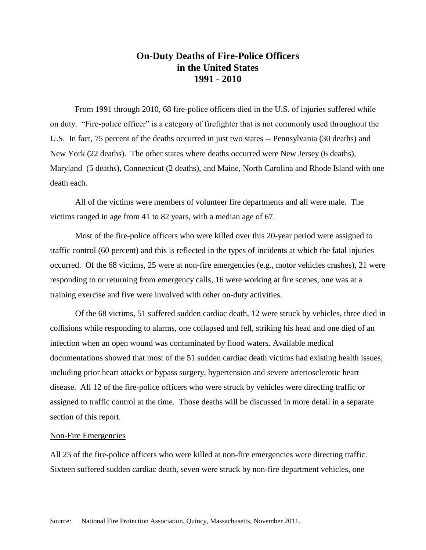## **On-Duty Deaths of Fire-Police Officers in the United States 1991 - 2010**

From 1991 through 2010, 68 fire-police officers died in the U.S. of injuries suffered while on duty. "Fire-police officer" is a category of firefighter that is not commonly used throughout the U.S. In fact, 75 percent of the deaths occurred in just two states -- Pennsylvania (30 deaths) and New York (22 deaths). The other states where deaths occurred were New Jersey (6 deaths), Maryland (5 deaths), Connecticut (2 deaths), and Maine, North Carolina and Rhode Island with one death each.

All of the victims were members of volunteer fire departments and all were male. The victims ranged in age from 41 to 82 years, with a median age of 67.

Most of the fire-police officers who were killed over this 20-year period were assigned to traffic control (60 percent) and this is reflected in the types of incidents at which the fatal injuries occurred. Of the 68 victims, 25 were at non-fire emergencies (e.g., motor vehicles crashes), 21 were responding to or returning from emergency calls, 16 were working at fire scenes, one was at a training exercise and five were involved with other on-duty activities.

Of the 68 victims, 51 suffered sudden cardiac death, 12 were struck by vehicles, three died in collisions while responding to alarms, one collapsed and fell, striking his head and one died of an infection when an open wound was contaminated by flood waters. Available medical documentations showed that most of the 51 sudden cardiac death victims had existing health issues, including prior heart attacks or bypass surgery, hypertension and severe arteriosclerotic heart disease. All 12 of the fire-police officers who were struck by vehicles were directing traffic or assigned to traffic control at the time. Those deaths will be discussed in more detail in a separate section of this report.

#### Non-Fire Emergencies

All 25 of the fire-police officers who were killed at non-fire emergencies were directing traffic. Sixteen suffered sudden cardiac death, seven were struck by non-fire department vehicles, one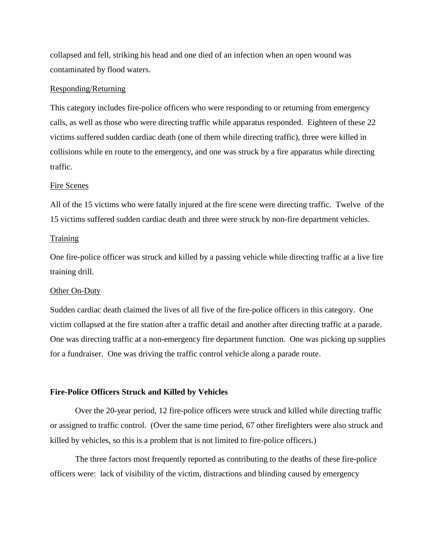collapsed and fell, striking his head and one died of an infection when an open wound was contaminated by flood waters.

### Responding/Returning

This category includes fire-police officers who were responding to or returning from emergency calls, as well as those who were directing traffic while apparatus responded. Eighteen of these 22 victims suffered sudden cardiac death (one of them while directing traffic), three were killed in collisions while en route to the emergency, and one was struck by a fire apparatus while directing traffic.

#### Fire Scenes

All of the 15 victims who were fatally injured at the fire scene were directing traffic. Twelve of the 15 victims suffered sudden cardiac death and three were struck by non-fire department vehicles.

#### Training

One fire-police officer was struck and killed by a passing vehicle while directing traffic at a live fire training drill.

#### Other On-Duty

Sudden cardiac death claimed the lives of all five of the fire-police officers in this category. One victim collapsed at the fire station after a traffic detail and another after directing traffic at a parade. One was directing traffic at a non-emergency fire department function. One was picking up supplies for a fundraiser. One was driving the traffic control vehicle along a parade route.

#### **Fire-Police Officers Struck and Killed by Vehicles**

Over the 20-year period, 12 fire-police officers were struck and killed while directing traffic or assigned to traffic control. (Over the same time period, 67 other firefighters were also struck and killed by vehicles, so this is a problem that is not limited to fire-police officers.)

The three factors most frequently reported as contributing to the deaths of these fire-police officers were: lack of visibility of the victim, distractions and blinding caused by emergency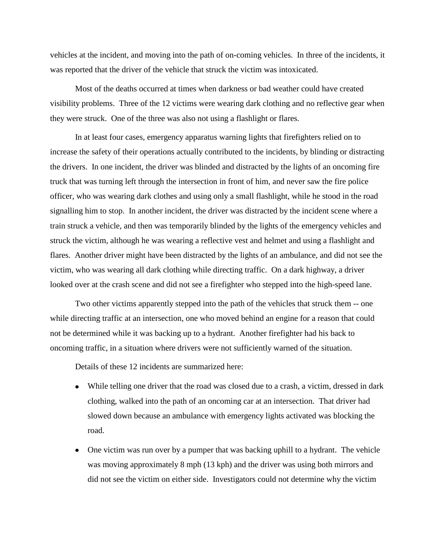vehicles at the incident, and moving into the path of on-coming vehicles. In three of the incidents, it was reported that the driver of the vehicle that struck the victim was intoxicated.

Most of the deaths occurred at times when darkness or bad weather could have created visibility problems. Three of the 12 victims were wearing dark clothing and no reflective gear when they were struck. One of the three was also not using a flashlight or flares.

In at least four cases, emergency apparatus warning lights that firefighters relied on to increase the safety of their operations actually contributed to the incidents, by blinding or distracting the drivers. In one incident, the driver was blinded and distracted by the lights of an oncoming fire truck that was turning left through the intersection in front of him, and never saw the fire police officer, who was wearing dark clothes and using only a small flashlight, while he stood in the road signalling him to stop. In another incident, the driver was distracted by the incident scene where a train struck a vehicle, and then was temporarily blinded by the lights of the emergency vehicles and struck the victim, although he was wearing a reflective vest and helmet and using a flashlight and flares. Another driver might have been distracted by the lights of an ambulance, and did not see the victim, who was wearing all dark clothing while directing traffic. On a dark highway, a driver looked over at the crash scene and did not see a firefighter who stepped into the high-speed lane.

Two other victims apparently stepped into the path of the vehicles that struck them -- one while directing traffic at an intersection, one who moved behind an engine for a reason that could not be determined while it was backing up to a hydrant. Another firefighter had his back to oncoming traffic, in a situation where drivers were not sufficiently warned of the situation.

Details of these 12 incidents are summarized here:

- While telling one driver that the road was closed due to a crash, a victim, dressed in dark clothing, walked into the path of an oncoming car at an intersection. That driver had slowed down because an ambulance with emergency lights activated was blocking the road.
- One victim was run over by a pumper that was backing uphill to a hydrant. The vehicle was moving approximately 8 mph (13 kph) and the driver was using both mirrors and did not see the victim on either side. Investigators could not determine why the victim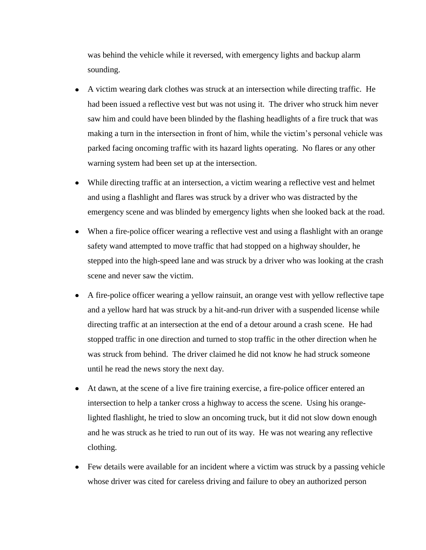was behind the vehicle while it reversed, with emergency lights and backup alarm sounding.

- A victim wearing dark clothes was struck at an intersection while directing traffic. He had been issued a reflective vest but was not using it. The driver who struck him never saw him and could have been blinded by the flashing headlights of a fire truck that was making a turn in the intersection in front of him, while the victim"s personal vehicle was parked facing oncoming traffic with its hazard lights operating. No flares or any other warning system had been set up at the intersection.
- While directing traffic at an intersection, a victim wearing a reflective vest and helmet and using a flashlight and flares was struck by a driver who was distracted by the emergency scene and was blinded by emergency lights when she looked back at the road.
- When a fire-police officer wearing a reflective vest and using a flashlight with an orange safety wand attempted to move traffic that had stopped on a highway shoulder, he stepped into the high-speed lane and was struck by a driver who was looking at the crash scene and never saw the victim.
- A fire-police officer wearing a yellow rainsuit, an orange vest with yellow reflective tape and a yellow hard hat was struck by a hit-and-run driver with a suspended license while directing traffic at an intersection at the end of a detour around a crash scene. He had stopped traffic in one direction and turned to stop traffic in the other direction when he was struck from behind. The driver claimed he did not know he had struck someone until he read the news story the next day.
- At dawn, at the scene of a live fire training exercise, a fire-police officer entered an intersection to help a tanker cross a highway to access the scene. Using his orangelighted flashlight, he tried to slow an oncoming truck, but it did not slow down enough and he was struck as he tried to run out of its way. He was not wearing any reflective clothing.
- Few details were available for an incident where a victim was struck by a passing vehicle whose driver was cited for careless driving and failure to obey an authorized person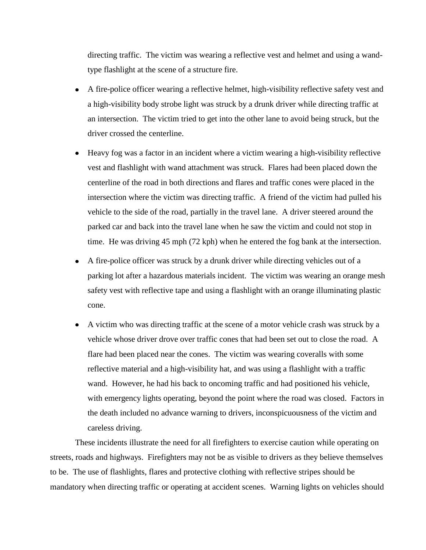directing traffic. The victim was wearing a reflective vest and helmet and using a wandtype flashlight at the scene of a structure fire.

- A fire-police officer wearing a reflective helmet, high-visibility reflective safety vest and a high-visibility body strobe light was struck by a drunk driver while directing traffic at an intersection. The victim tried to get into the other lane to avoid being struck, but the driver crossed the centerline.
- Heavy fog was a factor in an incident where a victim wearing a high-visibility reflective vest and flashlight with wand attachment was struck. Flares had been placed down the centerline of the road in both directions and flares and traffic cones were placed in the intersection where the victim was directing traffic. A friend of the victim had pulled his vehicle to the side of the road, partially in the travel lane. A driver steered around the parked car and back into the travel lane when he saw the victim and could not stop in time. He was driving 45 mph (72 kph) when he entered the fog bank at the intersection.
- A fire-police officer was struck by a drunk driver while directing vehicles out of a  $\bullet$ parking lot after a hazardous materials incident. The victim was wearing an orange mesh safety vest with reflective tape and using a flashlight with an orange illuminating plastic cone.
- A victim who was directing traffic at the scene of a motor vehicle crash was struck by a  $\bullet$ vehicle whose driver drove over traffic cones that had been set out to close the road. A flare had been placed near the cones. The victim was wearing coveralls with some reflective material and a high-visibility hat, and was using a flashlight with a traffic wand. However, he had his back to oncoming traffic and had positioned his vehicle, with emergency lights operating, beyond the point where the road was closed. Factors in the death included no advance warning to drivers, inconspicuousness of the victim and careless driving.

These incidents illustrate the need for all firefighters to exercise caution while operating on streets, roads and highways. Firefighters may not be as visible to drivers as they believe themselves to be. The use of flashlights, flares and protective clothing with reflective stripes should be mandatory when directing traffic or operating at accident scenes. Warning lights on vehicles should